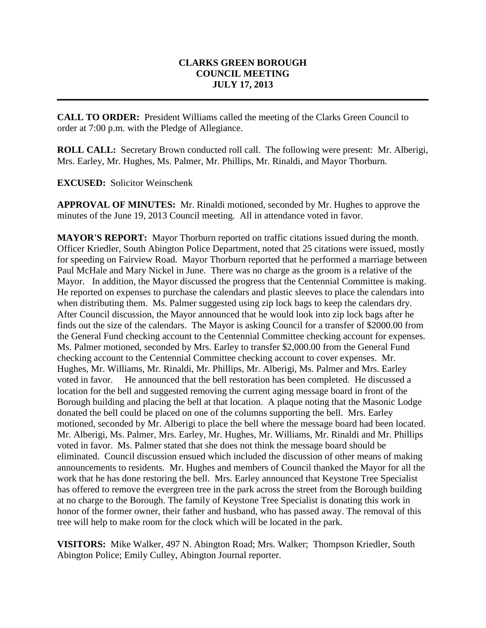## **CLARKS GREEN BOROUGH COUNCIL MEETING JULY 17, 2013**

**\_\_\_\_\_\_\_\_\_\_\_\_\_\_\_\_\_\_\_\_\_\_\_\_\_\_\_\_\_\_\_\_\_\_\_\_\_\_\_\_\_\_\_\_\_\_\_\_\_\_\_\_\_\_\_\_\_\_\_\_\_\_\_\_\_\_\_\_\_\_\_\_\_\_\_\_\_\_**

**CALL TO ORDER:** President Williams called the meeting of the Clarks Green Council to order at 7:00 p.m. with the Pledge of Allegiance.

**ROLL CALL:** Secretary Brown conducted roll call. The following were present: Mr. Alberigi, Mrs. Earley, Mr. Hughes, Ms. Palmer, Mr. Phillips, Mr. Rinaldi, and Mayor Thorburn.

**EXCUSED:** Solicitor Weinschenk

**APPROVAL OF MINUTES:** Mr. Rinaldi motioned, seconded by Mr. Hughes to approve the minutes of the June 19, 2013 Council meeting. All in attendance voted in favor.

**MAYOR'S REPORT:** Mayor Thorburn reported on traffic citations issued during the month. Officer Kriedler, South Abington Police Department, noted that 25 citations were issued, mostly for speeding on Fairview Road. Mayor Thorburn reported that he performed a marriage between Paul McHale and Mary Nickel in June. There was no charge as the groom is a relative of the Mayor. In addition, the Mayor discussed the progress that the Centennial Committee is making. He reported on expenses to purchase the calendars and plastic sleeves to place the calendars into when distributing them. Ms. Palmer suggested using zip lock bags to keep the calendars dry. After Council discussion, the Mayor announced that he would look into zip lock bags after he finds out the size of the calendars. The Mayor is asking Council for a transfer of \$2000.00 from the General Fund checking account to the Centennial Committee checking account for expenses. Ms. Palmer motioned, seconded by Mrs. Earley to transfer \$2,000.00 from the General Fund checking account to the Centennial Committee checking account to cover expenses. Mr. Hughes, Mr. Williams, Mr. Rinaldi, Mr. Phillips, Mr. Alberigi, Ms. Palmer and Mrs. Earley voted in favor. He announced that the bell restoration has been completed. He discussed a location for the bell and suggested removing the current aging message board in front of the Borough building and placing the bell at that location. A plaque noting that the Masonic Lodge donated the bell could be placed on one of the columns supporting the bell. Mrs. Earley motioned, seconded by Mr. Alberigi to place the bell where the message board had been located. Mr. Alberigi, Ms. Palmer, Mrs. Earley, Mr. Hughes, Mr. Williams, Mr. Rinaldi and Mr. Phillips voted in favor. Ms. Palmer stated that she does not think the message board should be eliminated. Council discussion ensued which included the discussion of other means of making announcements to residents. Mr. Hughes and members of Council thanked the Mayor for all the work that he has done restoring the bell. Mrs. Earley announced that Keystone Tree Specialist has offered to remove the evergreen tree in the park across the street from the Borough building at no charge to the Borough. The family of Keystone Tree Specialist is donating this work in honor of the former owner, their father and husband, who has passed away. The removal of this tree will help to make room for the clock which will be located in the park.

**VISITORS:** Mike Walker, 497 N. Abington Road; Mrs. Walker; Thompson Kriedler, South Abington Police; Emily Culley, Abington Journal reporter.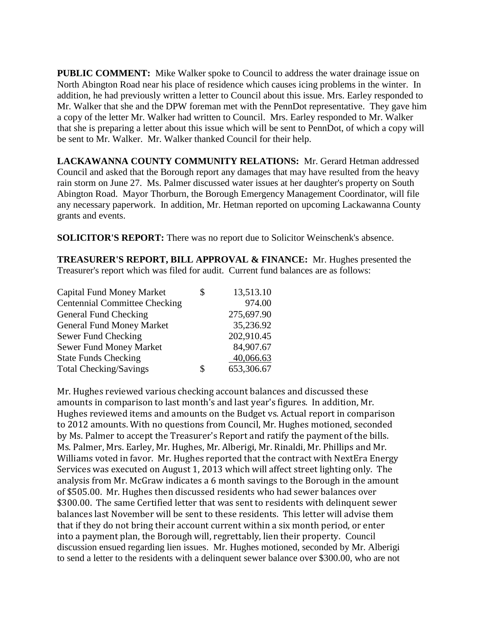**PUBLIC COMMENT:** Mike Walker spoke to Council to address the water drainage issue on North Abington Road near his place of residence which causes icing problems in the winter. In addition, he had previously written a letter to Council about this issue. Mrs. Earley responded to Mr. Walker that she and the DPW foreman met with the PennDot representative. They gave him a copy of the letter Mr. Walker had written to Council. Mrs. Earley responded to Mr. Walker that she is preparing a letter about this issue which will be sent to PennDot, of which a copy will be sent to Mr. Walker. Mr. Walker thanked Council for their help.

**LACKAWANNA COUNTY COMMUNITY RELATIONS:** Mr. Gerard Hetman addressed Council and asked that the Borough report any damages that may have resulted from the heavy rain storm on June 27. Ms. Palmer discussed water issues at her daughter's property on South Abington Road. Mayor Thorburn, the Borough Emergency Management Coordinator, will file any necessary paperwork. In addition, Mr. Hetman reported on upcoming Lackawanna County grants and events.

**SOLICITOR'S REPORT:** There was no report due to Solicitor Weinschenk's absence.

**TREASURER'S REPORT, BILL APPROVAL & FINANCE:** Mr. Hughes presented the Treasurer's report which was filed for audit. Current fund balances are as follows:

| <b>Capital Fund Money Market</b>     | \$ | 13,513.10  |
|--------------------------------------|----|------------|
| <b>Centennial Committee Checking</b> |    | 974.00     |
| General Fund Checking                |    | 275,697.90 |
| <b>General Fund Money Market</b>     |    | 35,236.92  |
| Sewer Fund Checking                  |    | 202,910.45 |
| Sewer Fund Money Market              |    | 84,907.67  |
| <b>State Funds Checking</b>          |    | 40,066.63  |
| <b>Total Checking/Savings</b>        | S  | 653,306.67 |

Mr. Hughes reviewed various checking account balances and discussed these amounts in comparison to last month's and last year's figures. In addition, Mr. Hughes reviewed items and amounts on the Budget vs. Actual report in comparison to 2012 amounts. With no questions from Council, Mr. Hughes motioned, seconded by Ms. Palmer to accept the Treasurer's Report and ratify the payment of the bills. Ms. Palmer, Mrs. Earley, Mr. Hughes, Mr. Alberigi, Mr. Rinaldi, Mr. Phillips and Mr. Williams voted in favor. Mr. Hughes reported that the contract with NextEra Energy Services was executed on August 1, 2013 which will affect street lighting only. The analysis from Mr. McGraw indicates a 6 month savings to the Borough in the amount of \$505.00. Mr. Hughes then discussed residents who had sewer balances over \$300.00. The same Certified letter that was sent to residents with delinquent sewer balances last November will be sent to these residents. This letter will advise them that if they do not bring their account current within a six month period, or enter into a payment plan, the Borough will, regrettably, lien their property. Council discussion ensued regarding lien issues. Mr. Hughes motioned, seconded by Mr. Alberigi to send a letter to the residents with a delinquent sewer balance over \$300.00, who are not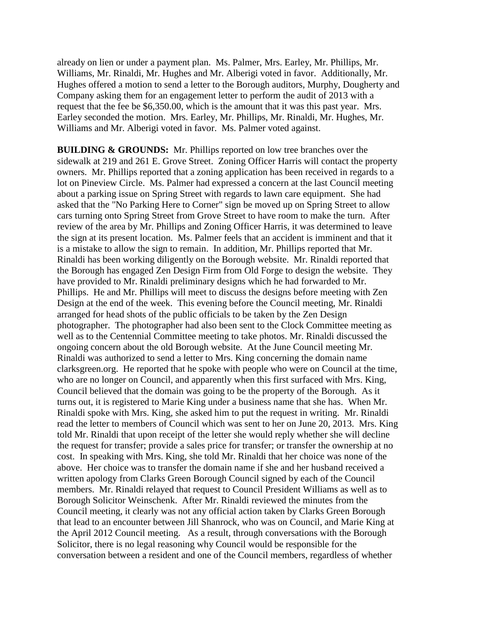already on lien or under a payment plan. Ms. Palmer, Mrs. Earley, Mr. Phillips, Mr. Williams, Mr. Rinaldi, Mr. Hughes and Mr. Alberigi voted in favor. Additionally, Mr. Hughes offered a motion to send a letter to the Borough auditors, Murphy, Dougherty and Company asking them for an engagement letter to perform the audit of 2013 with a request that the fee be \$6,350.00, which is the amount that it was this past year. Mrs. Earley seconded the motion. Mrs. Earley, Mr. Phillips, Mr. Rinaldi, Mr. Hughes, Mr. Williams and Mr. Alberigi voted in favor. Ms. Palmer voted against.

**BUILDING & GROUNDS:** Mr. Phillips reported on low tree branches over the sidewalk at 219 and 261 E. Grove Street. Zoning Officer Harris will contact the property owners. Mr. Phillips reported that a zoning application has been received in regards to a lot on Pineview Circle. Ms. Palmer had expressed a concern at the last Council meeting about a parking issue on Spring Street with regards to lawn care equipment. She had asked that the "No Parking Here to Corner" sign be moved up on Spring Street to allow cars turning onto Spring Street from Grove Street to have room to make the turn. After review of the area by Mr. Phillips and Zoning Officer Harris, it was determined to leave the sign at its present location. Ms. Palmer feels that an accident is imminent and that it is a mistake to allow the sign to remain. In addition, Mr. Phillips reported that Mr. Rinaldi has been working diligently on the Borough website. Mr. Rinaldi reported that the Borough has engaged Zen Design Firm from Old Forge to design the website. They have provided to Mr. Rinaldi preliminary designs which he had forwarded to Mr. Phillips. He and Mr. Phillips will meet to discuss the designs before meeting with Zen Design at the end of the week. This evening before the Council meeting, Mr. Rinaldi arranged for head shots of the public officials to be taken by the Zen Design photographer. The photographer had also been sent to the Clock Committee meeting as well as to the Centennial Committee meeting to take photos. Mr. Rinaldi discussed the ongoing concern about the old Borough website. At the June Council meeting Mr. Rinaldi was authorized to send a letter to Mrs. King concerning the domain name clarksgreen.org. He reported that he spoke with people who were on Council at the time, who are no longer on Council, and apparently when this first surfaced with Mrs. King, Council believed that the domain was going to be the property of the Borough. As it turns out, it is registered to Marie King under a business name that she has. When Mr. Rinaldi spoke with Mrs. King, she asked him to put the request in writing. Mr. Rinaldi read the letter to members of Council which was sent to her on June 20, 2013. Mrs. King told Mr. Rinaldi that upon receipt of the letter she would reply whether she will decline the request for transfer; provide a sales price for transfer; or transfer the ownership at no cost. In speaking with Mrs. King, she told Mr. Rinaldi that her choice was none of the above. Her choice was to transfer the domain name if she and her husband received a written apology from Clarks Green Borough Council signed by each of the Council members. Mr. Rinaldi relayed that request to Council President Williams as well as to Borough Solicitor Weinschenk. After Mr. Rinaldi reviewed the minutes from the Council meeting, it clearly was not any official action taken by Clarks Green Borough that lead to an encounter between Jill Shanrock, who was on Council, and Marie King at the April 2012 Council meeting. As a result, through conversations with the Borough Solicitor, there is no legal reasoning why Council would be responsible for the conversation between a resident and one of the Council members, regardless of whether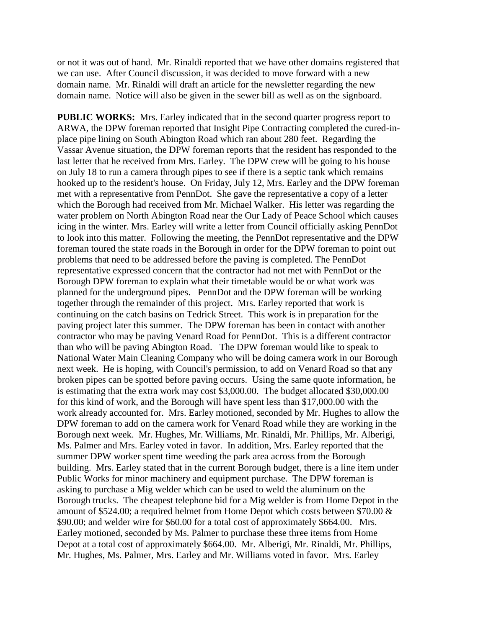or not it was out of hand. Mr. Rinaldi reported that we have other domains registered that we can use. After Council discussion, it was decided to move forward with a new domain name. Mr. Rinaldi will draft an article for the newsletter regarding the new domain name. Notice will also be given in the sewer bill as well as on the signboard.

**PUBLIC WORKS:** Mrs. Earley indicated that in the second quarter progress report to ARWA, the DPW foreman reported that Insight Pipe Contracting completed the cured-inplace pipe lining on South Abington Road which ran about 280 feet. Regarding the Vassar Avenue situation, the DPW foreman reports that the resident has responded to the last letter that he received from Mrs. Earley. The DPW crew will be going to his house on July 18 to run a camera through pipes to see if there is a septic tank which remains hooked up to the resident's house. On Friday, July 12, Mrs. Earley and the DPW foreman met with a representative from PennDot. She gave the representative a copy of a letter which the Borough had received from Mr. Michael Walker. His letter was regarding the water problem on North Abington Road near the Our Lady of Peace School which causes icing in the winter. Mrs. Earley will write a letter from Council officially asking PennDot to look into this matter. Following the meeting, the PennDot representative and the DPW foreman toured the state roads in the Borough in order for the DPW foreman to point out problems that need to be addressed before the paving is completed. The PennDot representative expressed concern that the contractor had not met with PennDot or the Borough DPW foreman to explain what their timetable would be or what work was planned for the underground pipes. PennDot and the DPW foreman will be working together through the remainder of this project. Mrs. Earley reported that work is continuing on the catch basins on Tedrick Street. This work is in preparation for the paving project later this summer. The DPW foreman has been in contact with another contractor who may be paving Venard Road for PennDot. This is a different contractor than who will be paving Abington Road. The DPW foreman would like to speak to National Water Main Cleaning Company who will be doing camera work in our Borough next week. He is hoping, with Council's permission, to add on Venard Road so that any broken pipes can be spotted before paving occurs. Using the same quote information, he is estimating that the extra work may cost \$3,000.00. The budget allocated \$30,000.00 for this kind of work, and the Borough will have spent less than \$17,000.00 with the work already accounted for. Mrs. Earley motioned, seconded by Mr. Hughes to allow the DPW foreman to add on the camera work for Venard Road while they are working in the Borough next week. Mr. Hughes, Mr. Williams, Mr. Rinaldi, Mr. Phillips, Mr. Alberigi, Ms. Palmer and Mrs. Earley voted in favor. In addition, Mrs. Earley reported that the summer DPW worker spent time weeding the park area across from the Borough building. Mrs. Earley stated that in the current Borough budget, there is a line item under Public Works for minor machinery and equipment purchase. The DPW foreman is asking to purchase a Mig welder which can be used to weld the aluminum on the Borough trucks. The cheapest telephone bid for a Mig welder is from Home Depot in the amount of \$524.00; a required helmet from Home Depot which costs between \$70.00 & \$90.00; and welder wire for \$60.00 for a total cost of approximately \$664.00. Mrs. Earley motioned, seconded by Ms. Palmer to purchase these three items from Home Depot at a total cost of approximately \$664.00. Mr. Alberigi, Mr. Rinaldi, Mr. Phillips, Mr. Hughes, Ms. Palmer, Mrs. Earley and Mr. Williams voted in favor. Mrs. Earley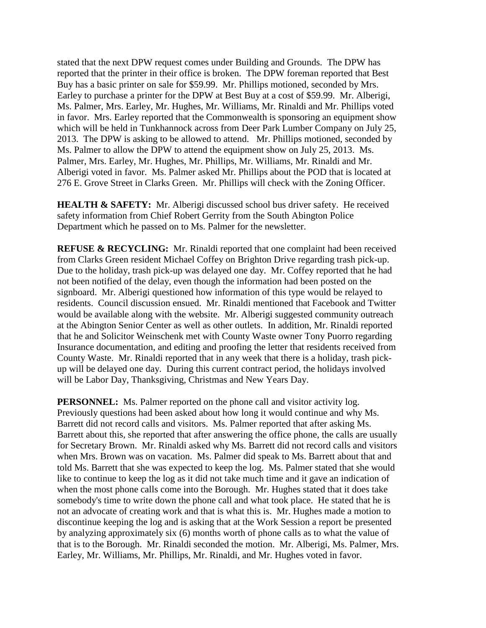stated that the next DPW request comes under Building and Grounds. The DPW has reported that the printer in their office is broken. The DPW foreman reported that Best Buy has a basic printer on sale for \$59.99. Mr. Phillips motioned, seconded by Mrs. Earley to purchase a printer for the DPW at Best Buy at a cost of \$59.99. Mr. Alberigi, Ms. Palmer, Mrs. Earley, Mr. Hughes, Mr. Williams, Mr. Rinaldi and Mr. Phillips voted in favor. Mrs. Earley reported that the Commonwealth is sponsoring an equipment show which will be held in Tunkhannock across from Deer Park Lumber Company on July 25, 2013. The DPW is asking to be allowed to attend. Mr. Phillips motioned, seconded by Ms. Palmer to allow the DPW to attend the equipment show on July 25, 2013. Ms. Palmer, Mrs. Earley, Mr. Hughes, Mr. Phillips, Mr. Williams, Mr. Rinaldi and Mr. Alberigi voted in favor. Ms. Palmer asked Mr. Phillips about the POD that is located at 276 E. Grove Street in Clarks Green. Mr. Phillips will check with the Zoning Officer.

**HEALTH & SAFETY:** Mr. Alberigi discussed school bus driver safety. He received safety information from Chief Robert Gerrity from the South Abington Police Department which he passed on to Ms. Palmer for the newsletter.

**REFUSE & RECYCLING:** Mr. Rinaldi reported that one complaint had been received from Clarks Green resident Michael Coffey on Brighton Drive regarding trash pick-up. Due to the holiday, trash pick-up was delayed one day. Mr. Coffey reported that he had not been notified of the delay, even though the information had been posted on the signboard. Mr. Alberigi questioned how information of this type would be relayed to residents. Council discussion ensued. Mr. Rinaldi mentioned that Facebook and Twitter would be available along with the website. Mr. Alberigi suggested community outreach at the Abington Senior Center as well as other outlets. In addition, Mr. Rinaldi reported that he and Solicitor Weinschenk met with County Waste owner Tony Puorro regarding Insurance documentation, and editing and proofing the letter that residents received from County Waste. Mr. Rinaldi reported that in any week that there is a holiday, trash pickup will be delayed one day. During this current contract period, the holidays involved will be Labor Day, Thanksgiving, Christmas and New Years Day.

**PERSONNEL:** Ms. Palmer reported on the phone call and visitor activity log. Previously questions had been asked about how long it would continue and why Ms. Barrett did not record calls and visitors. Ms. Palmer reported that after asking Ms. Barrett about this, she reported that after answering the office phone, the calls are usually for Secretary Brown. Mr. Rinaldi asked why Ms. Barrett did not record calls and visitors when Mrs. Brown was on vacation. Ms. Palmer did speak to Ms. Barrett about that and told Ms. Barrett that she was expected to keep the log. Ms. Palmer stated that she would like to continue to keep the log as it did not take much time and it gave an indication of when the most phone calls come into the Borough. Mr. Hughes stated that it does take somebody's time to write down the phone call and what took place. He stated that he is not an advocate of creating work and that is what this is. Mr. Hughes made a motion to discontinue keeping the log and is asking that at the Work Session a report be presented by analyzing approximately six (6) months worth of phone calls as to what the value of that is to the Borough. Mr. Rinaldi seconded the motion. Mr. Alberigi, Ms. Palmer, Mrs. Earley, Mr. Williams, Mr. Phillips, Mr. Rinaldi, and Mr. Hughes voted in favor.